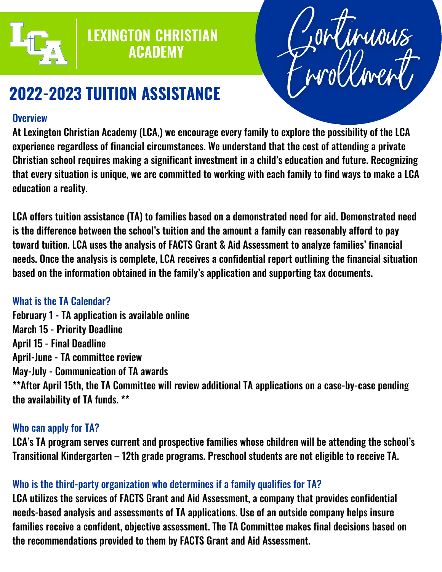

## **LEXINGTON CHRISTIAN ACADEMY**



# **2022-2023 TUITION ASSISTANCE**

#### **Overview**

At Lexington Christian Academy (LCA,) we encourage every family to explore the possibility of the LCA experience regardless of financial circumstances. We understand that the cost of attending a private Christian school requires making a significant investment in a child's education and future. Recognizing that every situation is unique, we are committed to working with each family to find ways to make a LCA education a reality.

LCA offers tuition assistance (TA) to families based on a demonstrated need for aid. Demonstrated need is the difference between the school's tuition and the amount a family can reasonably afford to pay toward tuition. LCA uses the analysis of FACTS Grant & Aid Assessment to analyze families' financial needs. Once the analysis is complete, LCA receives a confidential report outlining the financial situation based on the information obtained in the family's application and supporting tax documents.

### What is the TA Calendar?

February 1 - TA application is available online March 15 - Priority Deadline April 15 - Final Deadline April-June - TA committee review May-July - Communication of TA awards \*\*After April 15th, the TA Committee will review additional TA applications on a case-by-case pending the availability of TA funds. \*\*

### Who can apply for TA?

LCA's TA program serves current and prospective families whose children will be attending the school's Transitional Kindergarten – 12th grade programs. Preschool students are not eligible to receive TA.

### Who is the third-party organization who determines if a family qualifies for TA?

LCA utilizes the services of FACTS Grant and Aid Assessment, a company that provides confidential needs-based analysis and assessments of TA applications. Use of an outside company helps insure families receive a confident, objective assessment. The TA Committee makes final decisions based on the recommendations provided to them by FACTS Grant and Aid Assessment.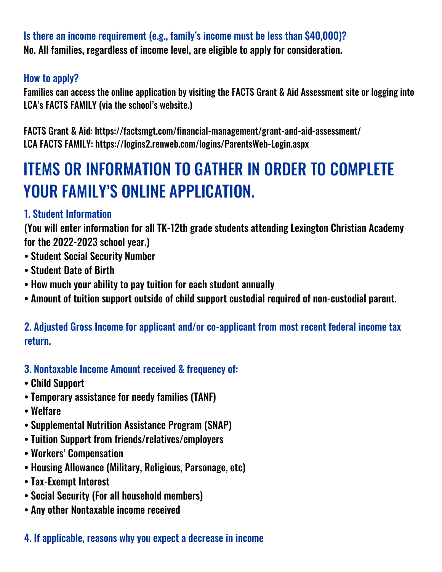Is there an income requirement (e.g., family's income must be less than \$40,000)? No. All families, regardless of income level, are eligible to apply for consideration.

#### How to apply?

Families can access the online application by visiting the FACTS Grant & Aid Assessment site or logging into LCA's FACTS FAMILY (via the school's website.)

FACTS Grant & Aid: https://factsmgt.com/financial-management/grant-and-aid-assessment/ LCA FACTS FAMILY: https://logins2.renweb.com/logins/ParentsWeb-Login.aspx

# ITEMS OR INFORMATION TO GATHER IN ORDER TO COMPLETE YOUR FAMILY'S ONLINE APPLICATION.

### 1. Student Information

(You will enter information for all TK-12th grade students attending Lexington Christian Academy for the 2022-2023 school year.)

- Student Social Security Number
- Student Date of Birth
- How much your ability to pay tuition for each student annually
- Amount of tuition support outside of child support custodial required of non-custodial parent.

2. Adjusted Gross Income for applicant and/or co-applicant from most recent federal income tax return.

- 3. Nontaxable Income Amount received & frequency of:
- Child Support
- Temporary assistance for needy families (TANF)
- Welfare
- Supplemental Nutrition Assistance Program (SNAP)
- Tuition Support from friends/relatives/employers
- Workers' Compensation
- Housing Allowance (Military, Religious, Parsonage, etc)
- Tax-Exempt Interest
- Social Security (For all household members)
- Any other Nontaxable income received

### 4. If applicable, reasons why you expect a decrease in income